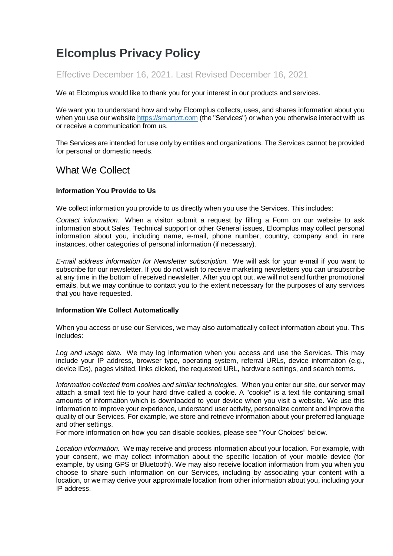# **Elcomplus Privacy Policy**

### Effective December 16, 2021. Last Revised December 16, 2021

We at Elcomplus would like to thank you for your interest in our products and services.

We want you to understand how and why Elcomplus collects, uses, and shares information about you when you use our website [https://smartptt.com](https://smartptt.com/) (the "Services") or when you otherwise interact with us or receive a communication from us.

The Services are intended for use only by entities and organizations. The Services cannot be provided for personal or domestic needs.

## What We Collect

#### **Information You Provide to Us**

We collect information you provide to us directly when you use the Services. This includes:

*Contact information.* When a visitor submit a request by filling a Form on our website to ask information about Sales, Technical support or other General issues, Elcomplus may collect personal information about you, including name, e-mail, phone number, country, company and, in rare instances, other categories of personal information (if necessary).

*E-mail address information for Newsletter subscription.* We will ask for your e-mail if you want to subscribe for our newsletter. If you do not wish to receive marketing newsletters you can unsubscribe at any time in the bottom of received newsletter. After you opt out, we will not send further promotional emails, but we may continue to contact you to the extent necessary for the purposes of any services that you have requested.

#### **Information We Collect Automatically**

When you access or use our Services, we may also automatically collect information about you. This includes:

*Log and usage data.* We may log information when you access and use the Services. This may include your IP address, browser type, operating system, referral URLs, device information (e.g., device IDs), pages visited, links clicked, the requested URL, hardware settings, and search terms.

*Information collected from cookies and similar technologies.* When you enter our site, our server may attach a small text file to your hard drive called a cookie. A "cookie" is a text file containing small amounts of information which is downloaded to your device when you visit a website. We use this information to improve your experience, understand user activity, personalize content and improve the quality of our Services. For example, we store and retrieve information about your preferred language and other settings.

For more information on how you can disable cookies, please see "Your Choices" below.

*Location information.* We may receive and process information about your location. For example, with your consent, we may collect information about the specific location of your mobile device (for example, by using GPS or Bluetooth). We may also receive location information from you when you choose to share such information on our Services, including by associating your content with a location, or we may derive your approximate location from other information about you, including your IP address.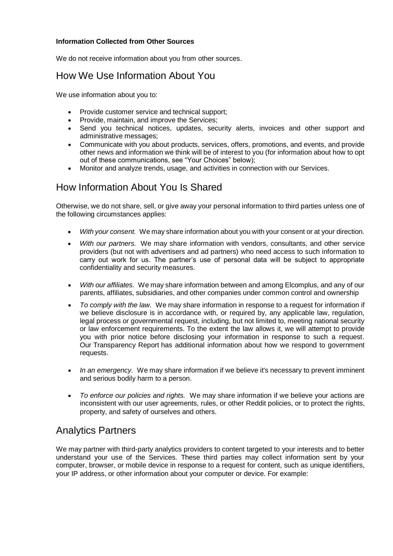#### **Information Collected from Other Sources**

We do not receive information about you from other sources.

# How We Use Information About You

We use information about you to:

- Provide customer service and technical support;
- Provide, maintain, and improve the Services;
- Send you technical notices, updates, security alerts, invoices and other support and administrative messages;
- Communicate with you about products, services, offers, promotions, and events, and provide other news and information we think will be of interest to you (for information about how to opt out of these communications, see "Your Choices" below);
- Monitor and analyze trends, usage, and activities in connection with our Services.

# How Information About You Is Shared

Otherwise, we do not share, sell, or give away your personal information to third parties unless one of the following circumstances applies:

- *With your consent.* We may share information about you with your consent or at your direction.
- *With our partners.* We may share information with vendors, consultants, and other service providers (but not with advertisers and ad partners) who need access to such information to carry out work for us. The partner's use of personal data will be subject to appropriate confidentiality and security measures.
- *With our affiliates.* We may share information between and among Elcomplus, and any of our parents, affiliates, subsidiaries, and other companies under common control and ownership
- *To comply with the law.* We may share information in response to a request for information if we believe disclosure is in accordance with, or required by, any applicable law, regulation, legal process or governmental request, including, but not limited to, meeting national security or law enforcement requirements. To the extent the law allows it, we will attempt to provide you with prior notice before disclosing your information in response to such a request. Our [Transparency Report](https://www.redditinc.com/policies/transparency-report) has additional information about how we respond to government requests.
- *In an emergency.* We may share information if we believe it's necessary to prevent imminent and serious bodily harm to a person.
- *To enforce our policies and rights.* We may share information if we believe your actions are inconsistent with our user agreements, [rules,](https://www.reddit.com/help/contentpolicy) or other Reddit policies, or to protect the rights, property, and safety of ourselves and others.

## Analytics Partners

We may partner with third-party analytics providers to content targeted to your interests and to better understand your use of the Services. These third parties may collect information sent by your computer, browser, or mobile device in response to a request for content, such as unique identifiers, your IP address, or other information about your computer or device. For example: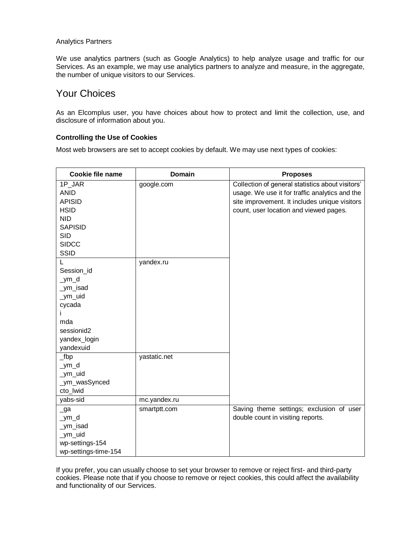#### Analytics Partners

We use analytics partners (such as Google Analytics) to help analyze usage and traffic for our Services. As an example, we may use analytics partners to analyze and measure, in the aggregate, the number of unique visitors to our Services.

### Your Choices

As an Elcomplus user, you have choices about how to protect and limit the collection, use, and disclosure of information about you.

#### **Controlling the Use of Cookies**

Most web browsers are set to accept cookies by default. We may use next types of cookies:

| <b>Cookie file name</b> | <b>Domain</b> | <b>Proposes</b>                                  |
|-------------------------|---------------|--------------------------------------------------|
| 1P JAR                  | google.com    | Collection of general statistics about visitors' |
| <b>ANID</b>             |               | usage. We use it for traffic analytics and the   |
| <b>APISID</b>           |               | site improvement. It includes unique visitors    |
| <b>HSID</b>             |               | count, user location and viewed pages.           |
| <b>NID</b>              |               |                                                  |
| <b>SAPISID</b>          |               |                                                  |
| <b>SID</b>              |               |                                                  |
| <b>SIDCC</b>            |               |                                                  |
| <b>SSID</b>             |               |                                                  |
|                         | yandex.ru     |                                                  |
| Session_id              |               |                                                  |
| _ym_d                   |               |                                                  |
| _ym_isad                |               |                                                  |
| _ym_uid                 |               |                                                  |
| cycada                  |               |                                                  |
| $\mathsf{I}$            |               |                                                  |
| mda                     |               |                                                  |
| sessionid2              |               |                                                  |
| yandex_login            |               |                                                  |
| yandexuid               |               |                                                  |
| $_t$ bp                 | yastatic.net  |                                                  |
| _ym_d                   |               |                                                  |
| _ym_uid                 |               |                                                  |
| _ym_wasSynced           |               |                                                  |
| cto_lwid                |               |                                                  |
| yabs-sid                | mc.yandex.ru  |                                                  |
| $\lrcorner$ ga          | smartptt.com  | Saving theme settings; exclusion of user         |
| $\_$ ym $\_$ d          |               | double count in visiting reports.                |
| _ym_isad                |               |                                                  |
| _ym_uid                 |               |                                                  |
| wp-settings-154         |               |                                                  |
| wp-settings-time-154    |               |                                                  |

If you prefer, you can usually choose to set your browser to remove or reject first- and third-party cookies. Please note that if you choose to remove or reject cookies, this could affect the availability and functionality of our Services.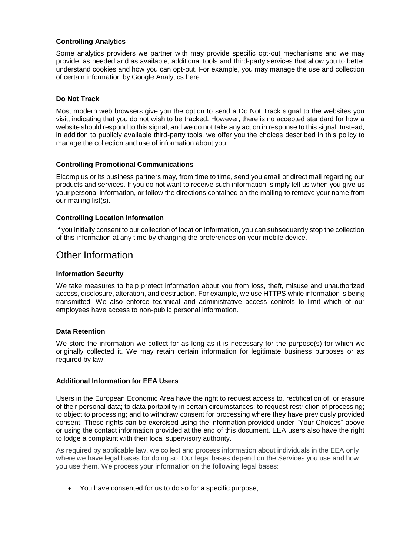#### **Controlling Analytics**

Some analytics providers we partner with may provide specific opt-out mechanisms and we may provide, as needed and as available, additional tools and third-party services that allow you to better understand cookies and how you can opt-out. For example, you may manage the use and collection of certain information by Google Analytics [here.](https://tools.google.com/dlpage/gaoptout)

#### **Do Not Track**

Most modern web browsers give you the option to send a Do Not Track signal to the websites you visit, indicating that you do not wish to be tracked. However, there is no accepted standard for how a website should respond to this signal, and we do not take any action in response to this signal. Instead, in addition to publicly available third-party tools, we offer you the choices described in this policy to manage the collection and use of information about you.

#### **Controlling Promotional Communications**

Elcomplus or its business partners may, from time to time, send you email or direct mail regarding our products and services. If you do not want to receive such information, simply tell us when you give us your personal information, or follow the directions contained on the mailing to remove your name from our mailing list(s).

#### **Controlling Location Information**

If you initially consent to our collection of location information, you can subsequently stop the collection of this information at any time by changing the preferences on your mobile device.

### Other Information

#### **Information Security**

We take measures to help protect information about you from loss, theft, misuse and unauthorized access, disclosure, alteration, and destruction. For example, we use HTTPS while information is being transmitted. We also enforce technical and administrative access controls to limit which of our employees have access to non-public personal information.

#### **Data Retention**

We store the information we collect for as long as it is necessary for the purpose(s) for which we originally collected it. We may retain certain information for legitimate business purposes or as required by law.

#### **Additional Information for EEA Users**

Users in the European Economic Area have the right to request access to, rectification of, or erasure of their personal data; to data portability in certain circumstances; to request restriction of processing; to object to processing; and to withdraw consent for processing where they have previously provided consent. These rights can be exercised using the information provided under "Your Choices" above or using the contact information provided at the end of this document. EEA users also have the right to lodge a complaint with their local supervisory authority.

As required by applicable law, we collect and process information about individuals in the EEA only where we have legal bases for doing so. Our legal bases depend on the Services you use and how you use them. We process your information on the following legal bases:

You have consented for us to do so for a specific purpose;